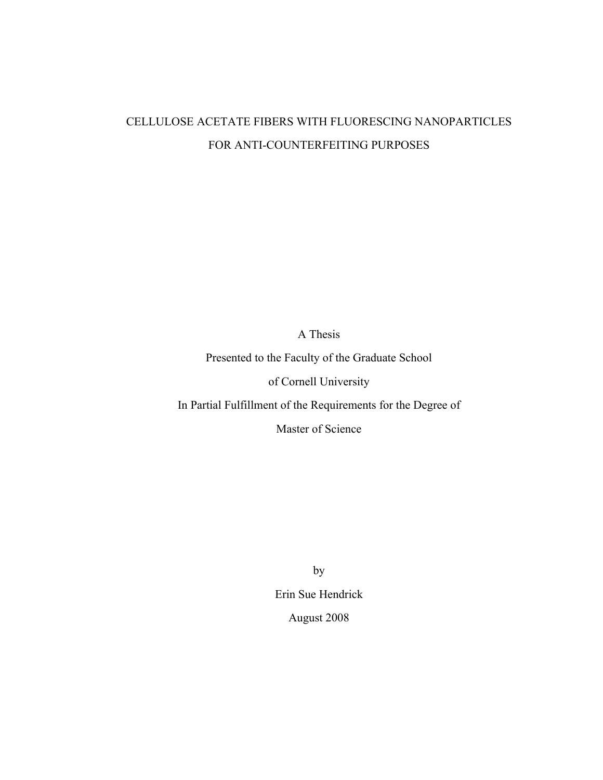# CELLULOSE ACETATE FIBERS WITH FLUORESCING NANOPARTICLES FOR ANTI-COUNTERFEITING PURPOSES

A Thesis

Presented to the Faculty of the Graduate School

of Cornell University

In Partial Fulfillment of the Requirements for the Degree of

Master of Science

by

Erin Sue Hendrick

August 2008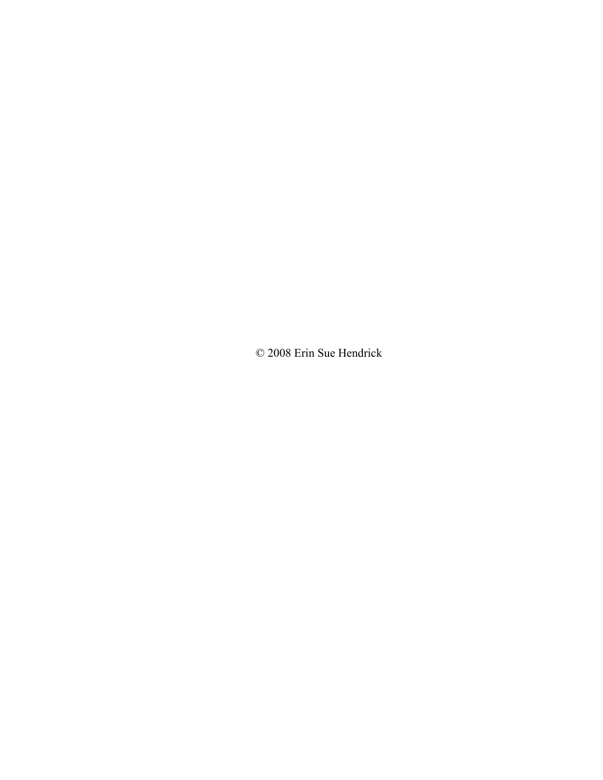© 2008 Erin Sue Hendrick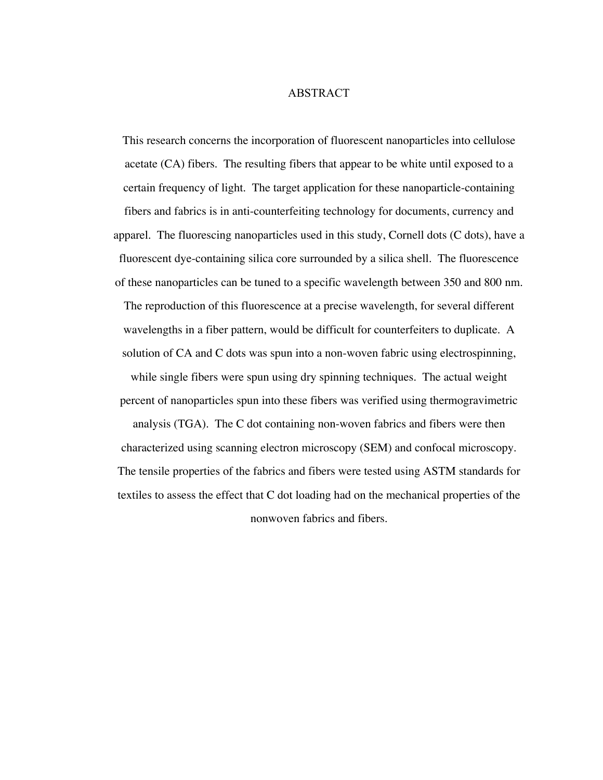## ABSTRACT

This research concerns the incorporation of fluorescent nanoparticles into cellulose acetate (CA) fibers. The resulting fibers that appear to be white until exposed to a certain frequency of light. The target application for these nanoparticle-containing fibers and fabrics is in anti-counterfeiting technology for documents, currency and apparel. The fluorescing nanoparticles used in this study, Cornell dots (C dots), have a fluorescent dye-containing silica core surrounded by a silica shell. The fluorescence of these nanoparticles can be tuned to a specific wavelength between 350 and 800 nm. The reproduction of this fluorescence at a precise wavelength, for several different wavelengths in a fiber pattern, would be difficult for counterfeiters to duplicate. A solution of CA and C dots was spun into a non-woven fabric using electrospinning, while single fibers were spun using dry spinning techniques. The actual weight percent of nanoparticles spun into these fibers was verified using thermogravimetric analysis (TGA). The C dot containing non-woven fabrics and fibers were then characterized using scanning electron microscopy (SEM) and confocal microscopy. The tensile properties of the fabrics and fibers were tested using ASTM standards for textiles to assess the effect that C dot loading had on the mechanical properties of the

nonwoven fabrics and fibers.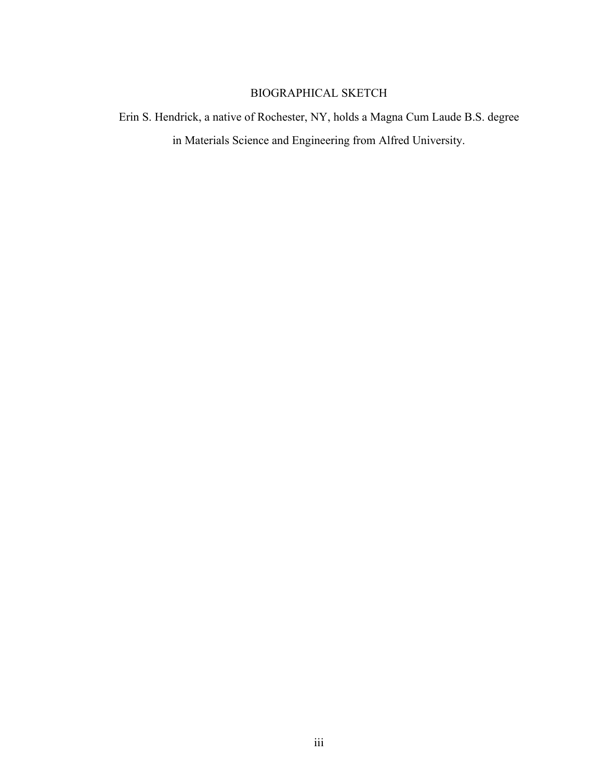# BIOGRAPHICAL SKETCH

Erin S. Hendrick, a native of Rochester, NY, holds a Magna Cum Laude B.S. degree in Materials Science and Engineering from Alfred University.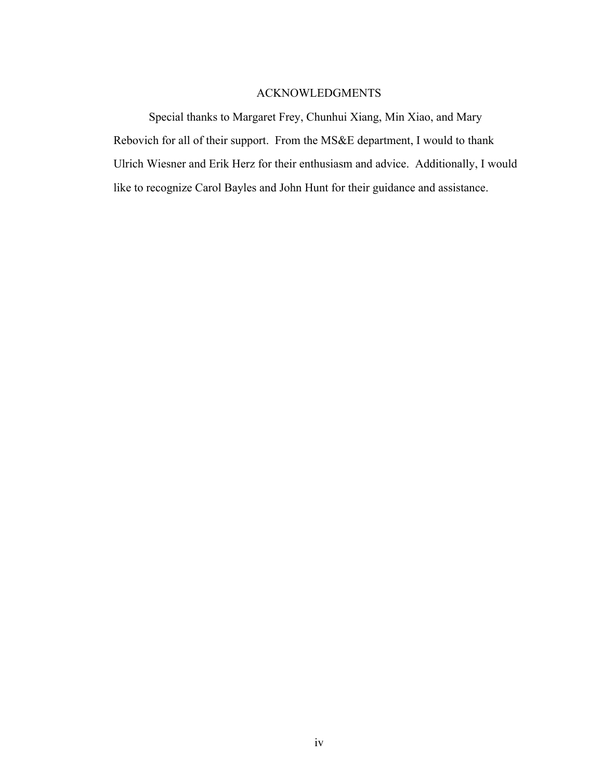# ACKNOWLEDGMENTS

Special thanks to Margaret Frey, Chunhui Xiang, Min Xiao, and Mary Rebovich for all of their support. From the MS&E department, I would to thank Ulrich Wiesner and Erik Herz for their enthusiasm and advice. Additionally, I would like to recognize Carol Bayles and John Hunt for their guidance and assistance.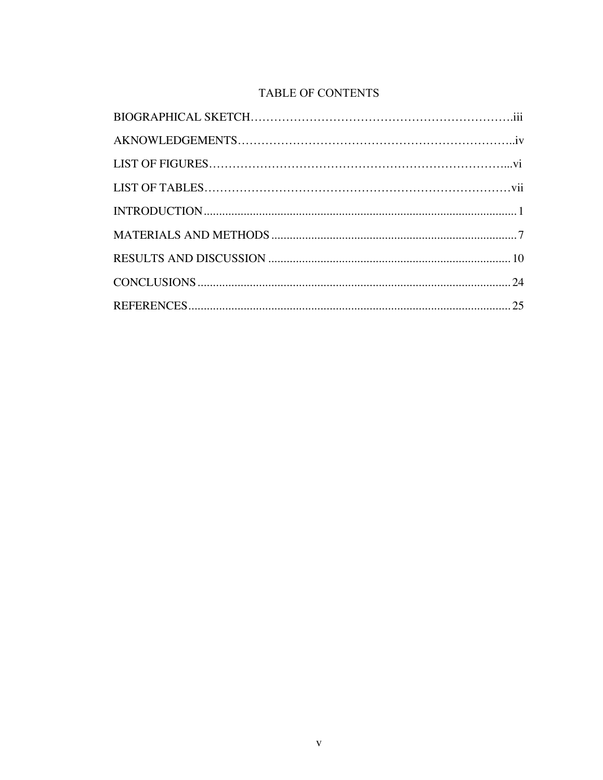# **TABLE OF CONTENTS**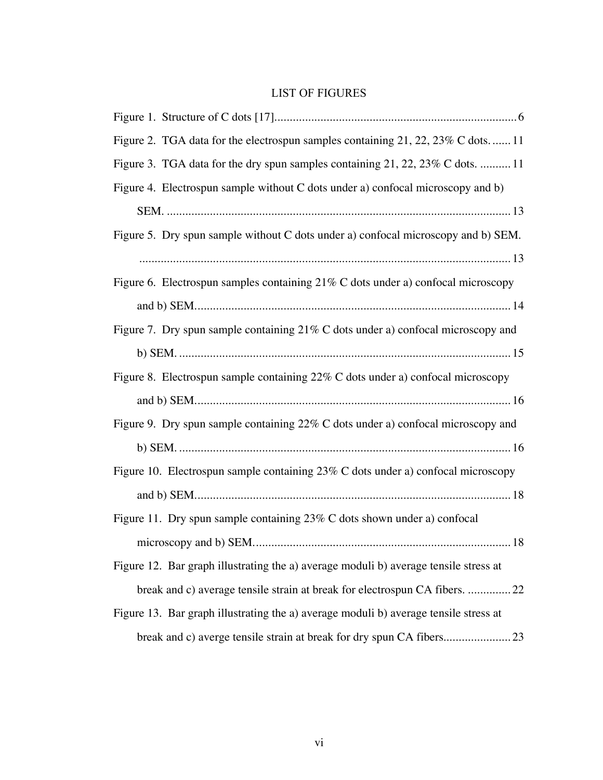# LIST OF FIGURES

| Figure 2. TGA data for the electrospun samples containing 21, 22, 23% C dots.  11    |
|--------------------------------------------------------------------------------------|
| Figure 3. TGA data for the dry spun samples containing 21, 22, 23% C dots.  11       |
| Figure 4. Electrospun sample without C dots under a) confocal microscopy and b)      |
|                                                                                      |
| Figure 5. Dry spun sample without C dots under a) confocal microscopy and b) SEM.    |
|                                                                                      |
| Figure 6. Electrospun samples containing $21\%$ C dots under a) confocal microscopy  |
|                                                                                      |
| Figure 7. Dry spun sample containing $21\%$ C dots under a) confocal microscopy and  |
|                                                                                      |
| Figure 8. Electrospun sample containing 22% C dots under a) confocal microscopy      |
|                                                                                      |
| Figure 9. Dry spun sample containing 22% C dots under a) confocal microscopy and     |
|                                                                                      |
| Figure 10. Electrospun sample containing $23\%$ C dots under a) confocal microscopy  |
|                                                                                      |
| Figure 11. Dry spun sample containing $23\%$ C dots shown under a) confocal          |
|                                                                                      |
| Figure 12. Bar graph illustrating the a) average moduli b) average tensile stress at |
| break and c) average tensile strain at break for electrospun CA fibers. 22           |
| Figure 13. Bar graph illustrating the a) average moduli b) average tensile stress at |
|                                                                                      |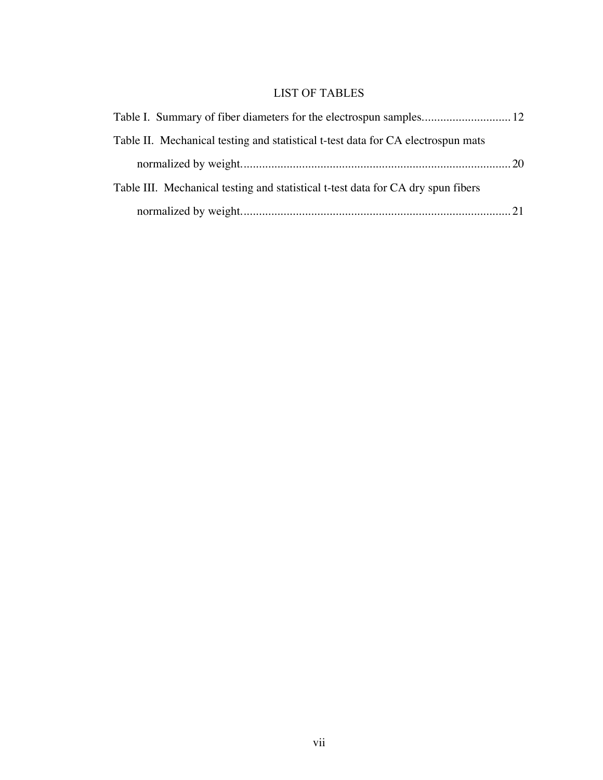# LIST OF TABLES

| Table II. Mechanical testing and statistical t-test data for CA electrospun mats |  |
|----------------------------------------------------------------------------------|--|
|                                                                                  |  |
| Table III. Mechanical testing and statistical t-test data for CA dry spun fibers |  |
|                                                                                  |  |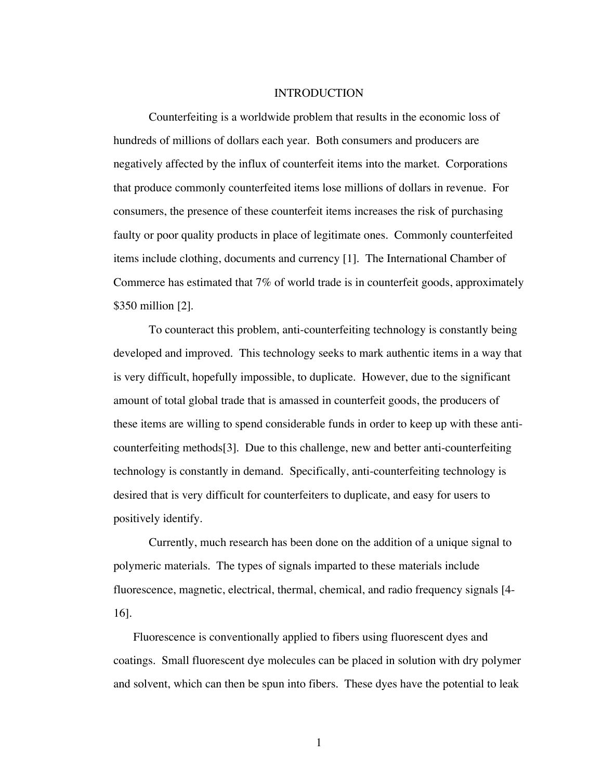#### INTRODUCTION

Counterfeiting is a worldwide problem that results in the economic loss of hundreds of millions of dollars each year. Both consumers and producers are negatively affected by the influx of counterfeit items into the market. Corporations that produce commonly counterfeited items lose millions of dollars in revenue. For consumers, the presence of these counterfeit items increases the risk of purchasing faulty or poor quality products in place of legitimate ones. Commonly counterfeited items include clothing, documents and currency [1]. The International Chamber of Commerce has estimated that 7% of world trade is in counterfeit goods, approximately \$350 million [2].

To counteract this problem, anti-counterfeiting technology is constantly being developed and improved. This technology seeks to mark authentic items in a way that is very difficult, hopefully impossible, to duplicate. However, due to the significant amount of total global trade that is amassed in counterfeit goods, the producers of these items are willing to spend considerable funds in order to keep up with these anticounterfeiting methods[3]. Due to this challenge, new and better anti-counterfeiting technology is constantly in demand. Specifically, anti-counterfeiting technology is desired that is very difficult for counterfeiters to duplicate, and easy for users to positively identify.

Currently, much research has been done on the addition of a unique signal to polymeric materials. The types of signals imparted to these materials include fluorescence, magnetic, electrical, thermal, chemical, and radio frequency signals [4- 16].

Fluorescence is conventionally applied to fibers using fluorescent dyes and coatings. Small fluorescent dye molecules can be placed in solution with dry polymer and solvent, which can then be spun into fibers. These dyes have the potential to leak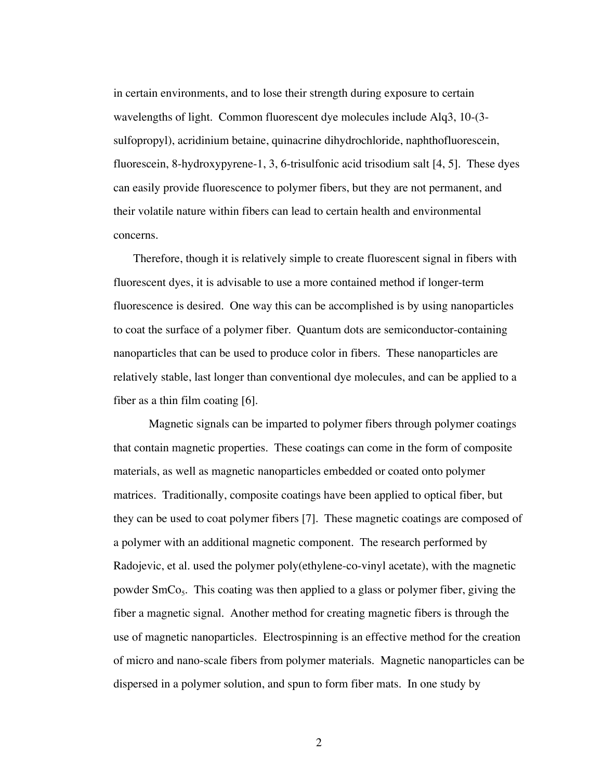in certain environments, and to lose their strength during exposure to certain wavelengths of light. Common fluorescent dye molecules include Alq3, 10-(3 sulfopropyl), acridinium betaine, quinacrine dihydrochloride, naphthofluorescein, fluorescein, 8-hydroxypyrene-1, 3, 6-trisulfonic acid trisodium salt [4, 5]. These dyes can easily provide fluorescence to polymer fibers, but they are not permanent, and their volatile nature within fibers can lead to certain health and environmental concerns.

Therefore, though it is relatively simple to create fluorescent signal in fibers with fluorescent dyes, it is advisable to use a more contained method if longer-term fluorescence is desired. One way this can be accomplished is by using nanoparticles to coat the surface of a polymer fiber. Quantum dots are semiconductor-containing nanoparticles that can be used to produce color in fibers. These nanoparticles are relatively stable, last longer than conventional dye molecules, and can be applied to a fiber as a thin film coating [6].

Magnetic signals can be imparted to polymer fibers through polymer coatings that contain magnetic properties. These coatings can come in the form of composite materials, as well as magnetic nanoparticles embedded or coated onto polymer matrices. Traditionally, composite coatings have been applied to optical fiber, but they can be used to coat polymer fibers [7]. These magnetic coatings are composed of a polymer with an additional magnetic component. The research performed by Radojevic, et al. used the polymer poly(ethylene-co-vinyl acetate), with the magnetic powder  $SmCo<sub>5</sub>$ . This coating was then applied to a glass or polymer fiber, giving the fiber a magnetic signal. Another method for creating magnetic fibers is through the use of magnetic nanoparticles. Electrospinning is an effective method for the creation of micro and nano-scale fibers from polymer materials. Magnetic nanoparticles can be dispersed in a polymer solution, and spun to form fiber mats. In one study by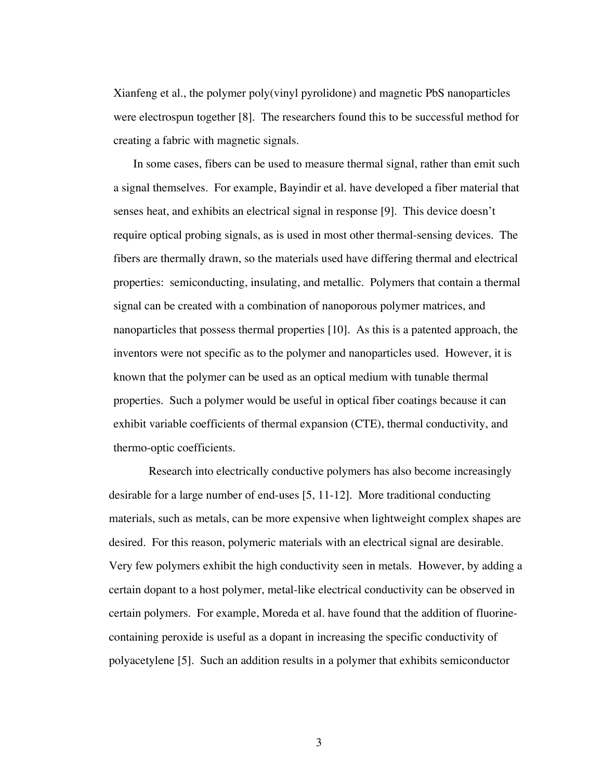Xianfeng et al., the polymer poly(vinyl pyrolidone) and magnetic PbS nanoparticles were electrospun together [8]. The researchers found this to be successful method for creating a fabric with magnetic signals.

In some cases, fibers can be used to measure thermal signal, rather than emit such a signal themselves. For example, Bayindir et al. have developed a fiber material that senses heat, and exhibits an electrical signal in response [9]. This device doesn't require optical probing signals, as is used in most other thermal-sensing devices. The fibers are thermally drawn, so the materials used have differing thermal and electrical properties: semiconducting, insulating, and metallic. Polymers that contain a thermal signal can be created with a combination of nanoporous polymer matrices, and nanoparticles that possess thermal properties [10]. As this is a patented approach, the inventors were not specific as to the polymer and nanoparticles used. However, it is known that the polymer can be used as an optical medium with tunable thermal properties. Such a polymer would be useful in optical fiber coatings because it can exhibit variable coefficients of thermal expansion (CTE), thermal conductivity, and thermo-optic coefficients.

Research into electrically conductive polymers has also become increasingly desirable for a large number of end-uses [5, 11-12]. More traditional conducting materials, such as metals, can be more expensive when lightweight complex shapes are desired. For this reason, polymeric materials with an electrical signal are desirable. Very few polymers exhibit the high conductivity seen in metals. However, by adding a certain dopant to a host polymer, metal-like electrical conductivity can be observed in certain polymers. For example, Moreda et al. have found that the addition of fluorinecontaining peroxide is useful as a dopant in increasing the specific conductivity of polyacetylene [5]. Such an addition results in a polymer that exhibits semiconductor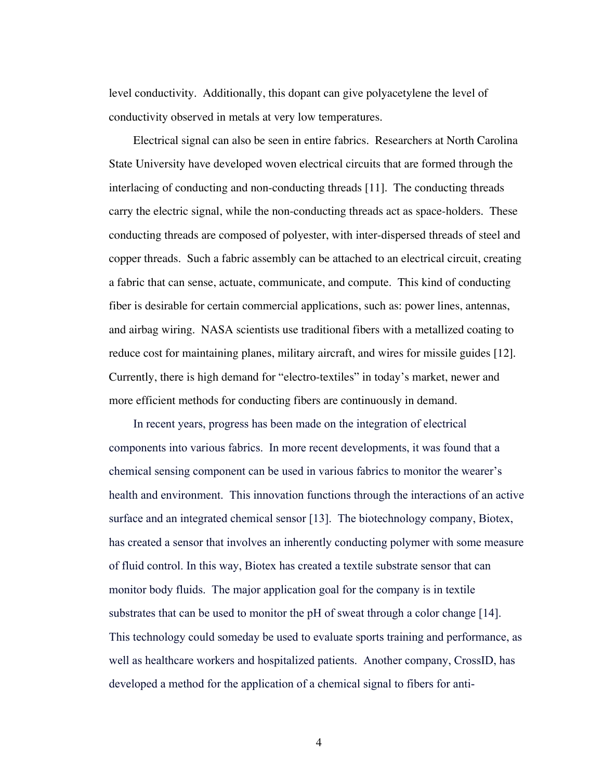level conductivity. Additionally, this dopant can give polyacetylene the level of conductivity observed in metals at very low temperatures.

Electrical signal can also be seen in entire fabrics. Researchers at North Carolina State University have developed woven electrical circuits that are formed through the interlacing of conducting and non-conducting threads [11]. The conducting threads carry the electric signal, while the non-conducting threads act as space-holders. These conducting threads are composed of polyester, with inter-dispersed threads of steel and copper threads. Such a fabric assembly can be attached to an electrical circuit, creating a fabric that can sense, actuate, communicate, and compute. This kind of conducting fiber is desirable for certain commercial applications, such as: power lines, antennas, and airbag wiring. NASA scientists use traditional fibers with a metallized coating to reduce cost for maintaining planes, military aircraft, and wires for missile guides [12]. Currently, there is high demand for "electro-textiles" in today's market, newer and more efficient methods for conducting fibers are continuously in demand.

In recent years, progress has been made on the integration of electrical components into various fabrics. In more recent developments, it was found that a chemical sensing component can be used in various fabrics to monitor the wearer's health and environment. This innovation functions through the interactions of an active surface and an integrated chemical sensor [13]. The biotechnology company, Biotex, has created a sensor that involves an inherently conducting polymer with some measure of fluid control. In this way, Biotex has created a textile substrate sensor that can monitor body fluids. The major application goal for the company is in textile substrates that can be used to monitor the pH of sweat through a color change [14]. This technology could someday be used to evaluate sports training and performance, as well as healthcare workers and hospitalized patients. Another company, CrossID, has developed a method for the application of a chemical signal to fibers for anti-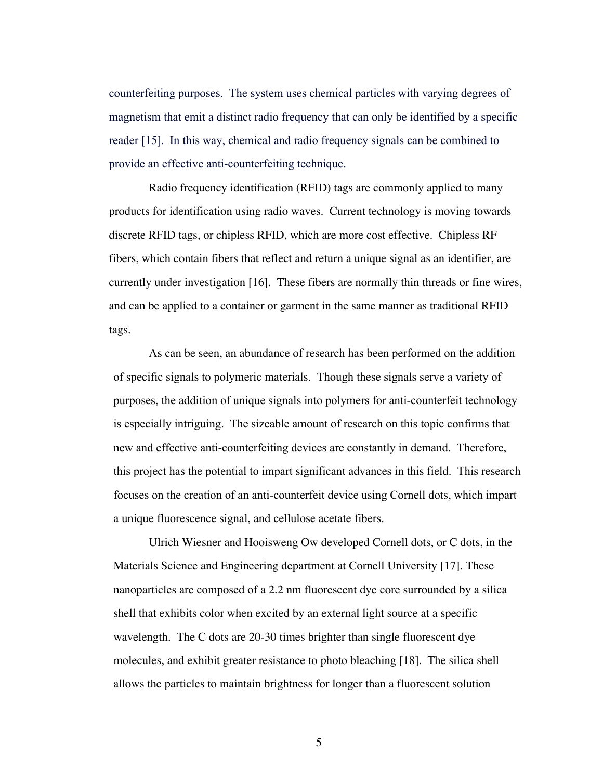counterfeiting purposes. The system uses chemical particles with varying degrees of magnetism that emit a distinct radio frequency that can only be identified by a specific reader [15]. In this way, chemical and radio frequency signals can be combined to provide an effective anti-counterfeiting technique.

Radio frequency identification (RFID) tags are commonly applied to many products for identification using radio waves. Current technology is moving towards discrete RFID tags, or chipless RFID, which are more cost effective. Chipless RF fibers, which contain fibers that reflect and return a unique signal as an identifier, are currently under investigation [16]. These fibers are normally thin threads or fine wires, and can be applied to a container or garment in the same manner as traditional RFID tags.

As can be seen, an abundance of research has been performed on the addition of specific signals to polymeric materials. Though these signals serve a variety of purposes, the addition of unique signals into polymers for anti-counterfeit technology is especially intriguing. The sizeable amount of research on this topic confirms that new and effective anti-counterfeiting devices are constantly in demand. Therefore, this project has the potential to impart significant advances in this field. This research focuses on the creation of an anti-counterfeit device using Cornell dots, which impart a unique fluorescence signal, and cellulose acetate fibers.

Ulrich Wiesner and Hooisweng Ow developed Cornell dots, or C dots, in the Materials Science and Engineering department at Cornell University [17]. These nanoparticles are composed of a 2.2 nm fluorescent dye core surrounded by a silica shell that exhibits color when excited by an external light source at a specific wavelength. The C dots are 20-30 times brighter than single fluorescent dye molecules, and exhibit greater resistance to photo bleaching [18]. The silica shell allows the particles to maintain brightness for longer than a fluorescent solution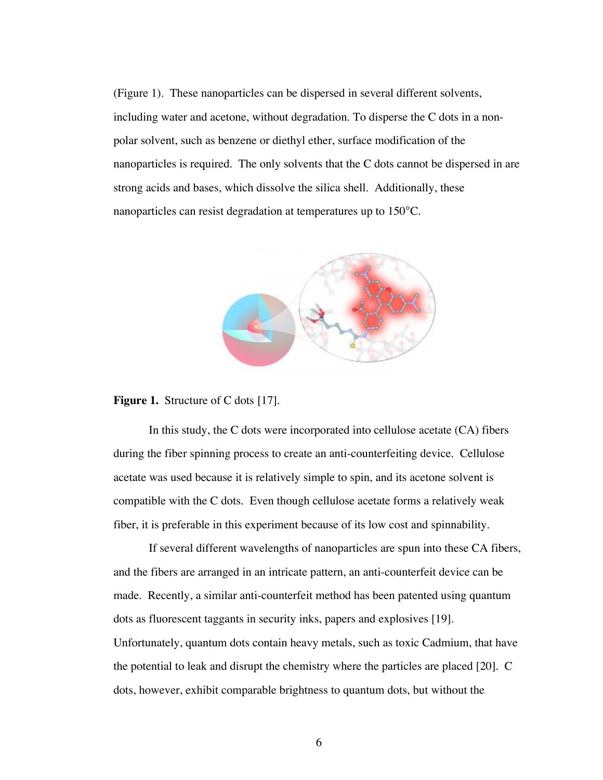(Figure 1). These nanoparticles can be dispersed in several different solvents, including water and acetone, without degradation. To disperse the C dots in a nonpolar solvent, such as benzene or diethyl ether, surface modification of the nanoparticles is required. The only solvents that the C dots cannot be dispersed in are strong acids and bases, which dissolve the silica shell. Additionally, these nanoparticles can resist degradation at temperatures up to 150°C.



**Figure 1.** Structure of C dots [17].

In this study, the C dots were incorporated into cellulose acetate (CA) fibers during the fiber spinning process to create an anti-counterfeiting device. Cellulose acetate was used because it is relatively simple to spin, and its acetone solvent is compatible with the C dots. Even though cellulose acetate forms a relatively weak fiber, it is preferable in this experiment because of its low cost and spinnability.

If several different wavelengths of nanoparticles are spun into these CA fibers, and the fibers are arranged in an intricate pattern, an anti-counterfeit device can be made. Recently, a similar anti-counterfeit method has been patented using quantum dots as fluorescent taggants in security inks, papers and explosives [19]. Unfortunately, quantum dots contain heavy metals, such as toxic Cadmium, that have the potential to leak and disrupt the chemistry where the particles are placed [20]. C dots, however, exhibit comparable brightness to quantum dots, but without the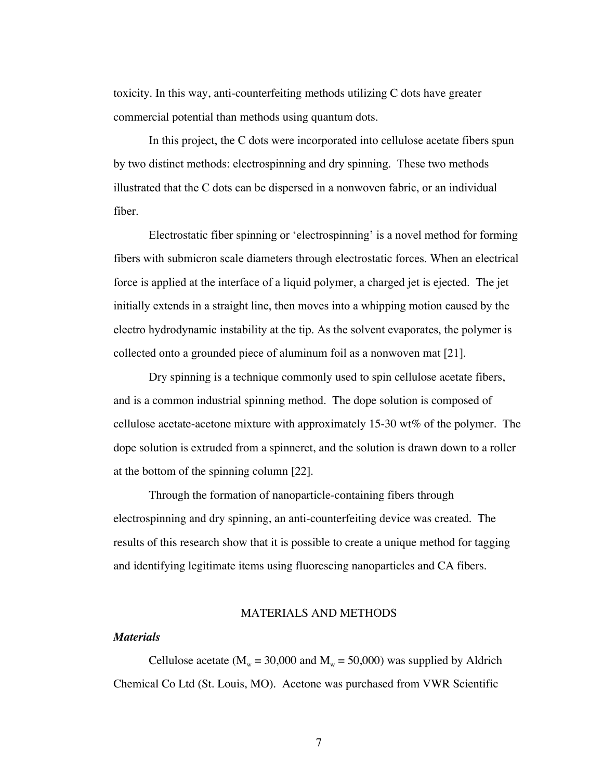toxicity. In this way, anti-counterfeiting methods utilizing C dots have greater commercial potential than methods using quantum dots.

In this project, the C dots were incorporated into cellulose acetate fibers spun by two distinct methods: electrospinning and dry spinning. These two methods illustrated that the C dots can be dispersed in a nonwoven fabric, or an individual fiber.

Electrostatic fiber spinning or 'electrospinning' is a novel method for forming fibers with submicron scale diameters through electrostatic forces. When an electrical force is applied at the interface of a liquid polymer, a charged jet is ejected. The jet initially extends in a straight line, then moves into a whipping motion caused by the electro hydrodynamic instability at the tip. As the solvent evaporates, the polymer is collected onto a grounded piece of aluminum foil as a nonwoven mat [21].

Dry spinning is a technique commonly used to spin cellulose acetate fibers, and is a common industrial spinning method. The dope solution is composed of cellulose acetate-acetone mixture with approximately 15-30 wt% of the polymer. The dope solution is extruded from a spinneret, and the solution is drawn down to a roller at the bottom of the spinning column [22].

Through the formation of nanoparticle-containing fibers through electrospinning and dry spinning, an anti-counterfeiting device was created. The results of this research show that it is possible to create a unique method for tagging and identifying legitimate items using fluorescing nanoparticles and CA fibers.

### MATERIALS AND METHODS

#### *Materials*

Cellulose acetate ( $M_w = 30,000$  and  $M_w = 50,000$ ) was supplied by Aldrich Chemical Co Ltd (St. Louis, MO). Acetone was purchased from VWR Scientific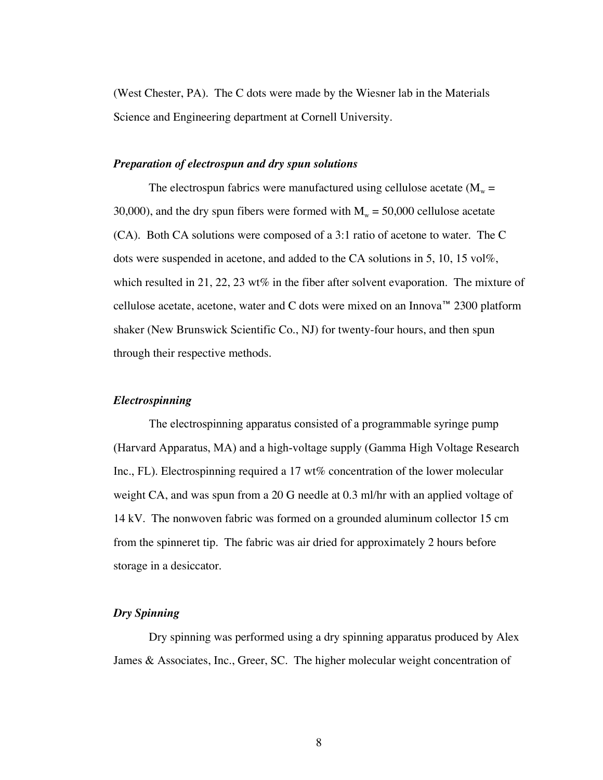(West Chester, PA). The C dots were made by the Wiesner lab in the Materials Science and Engineering department at Cornell University.

### *Preparation of electrospun and dry spun solutions*

The electrospun fabrics were manufactured using cellulose acetate  $(M<sub>w</sub> =$ 30,000), and the dry spun fibers were formed with  $M_w = 50,000$  cellulose acetate (CA). Both CA solutions were composed of a 3:1 ratio of acetone to water. The C dots were suspended in acetone, and added to the CA solutions in 5, 10, 15 vol%, which resulted in 21, 22, 23 wt% in the fiber after solvent evaporation. The mixture of cellulose acetate, acetone, water and C dots were mixed on an Innova™ 2300 platform shaker (New Brunswick Scientific Co., NJ) for twenty-four hours, and then spun through their respective methods.

### *Electrospinning*

The electrospinning apparatus consisted of a programmable syringe pump (Harvard Apparatus, MA) and a high-voltage supply (Gamma High Voltage Research Inc., FL). Electrospinning required a 17 wt% concentration of the lower molecular weight CA, and was spun from a 20 G needle at 0.3 ml/hr with an applied voltage of 14 kV. The nonwoven fabric was formed on a grounded aluminum collector 15 cm from the spinneret tip. The fabric was air dried for approximately 2 hours before storage in a desiccator.

### *Dry Spinning*

Dry spinning was performed using a dry spinning apparatus produced by Alex James & Associates, Inc., Greer, SC. The higher molecular weight concentration of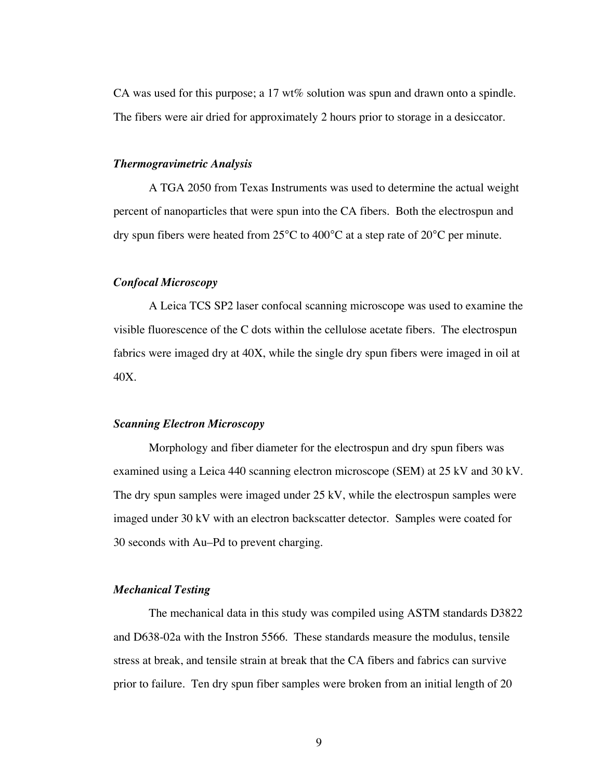CA was used for this purpose; a 17 wt% solution was spun and drawn onto a spindle. The fibers were air dried for approximately 2 hours prior to storage in a desiccator.

#### *Thermogravimetric Analysis*

A TGA 2050 from Texas Instruments was used to determine the actual weight percent of nanoparticles that were spun into the CA fibers. Both the electrospun and dry spun fibers were heated from 25°C to 400°C at a step rate of 20°C per minute.

### *Confocal Microscopy*

A Leica TCS SP2 laser confocal scanning microscope was used to examine the visible fluorescence of the C dots within the cellulose acetate fibers. The electrospun fabrics were imaged dry at 40X, while the single dry spun fibers were imaged in oil at 40X.

#### *Scanning Electron Microscopy*

Morphology and fiber diameter for the electrospun and dry spun fibers was examined using a Leica 440 scanning electron microscope (SEM) at 25 kV and 30 kV. The dry spun samples were imaged under 25 kV, while the electrospun samples were imaged under 30 kV with an electron backscatter detector. Samples were coated for 30 seconds with Au–Pd to prevent charging.

#### *Mechanical Testing*

The mechanical data in this study was compiled using ASTM standards D3822 and D638-02a with the Instron 5566. These standards measure the modulus, tensile stress at break, and tensile strain at break that the CA fibers and fabrics can survive prior to failure. Ten dry spun fiber samples were broken from an initial length of 20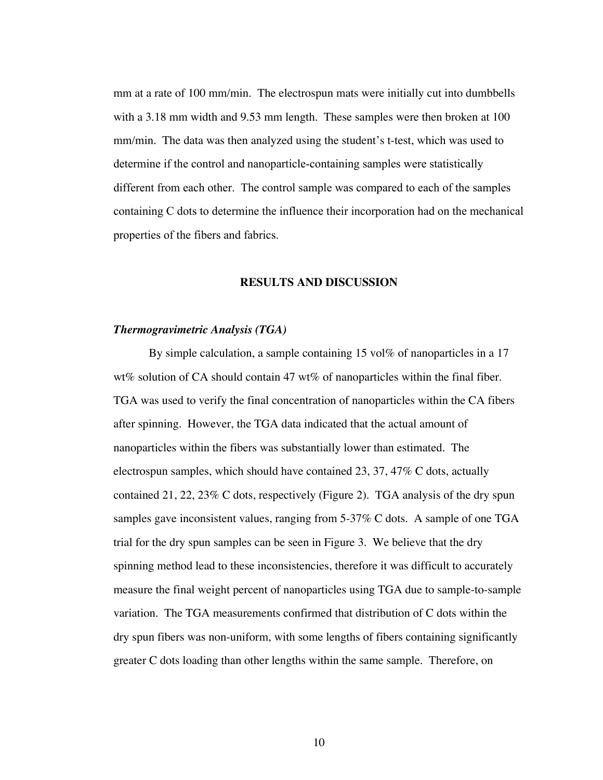mm at a rate of 100 mm/min. The electrospun mats were initially cut into dumbbells with a 3.18 mm width and 9.53 mm length. These samples were then broken at 100 mm/min. The data was then analyzed using the student's t-test, which was used to determine if the control and nanoparticle-containing samples were statistically different from each other. The control sample was compared to each of the samples containing C dots to determine the influence their incorporation had on the mechanical properties of the fibers and fabrics.

#### **RESULTS AND DISCUSSION**

#### *Thermogravimetric Analysis (TGA)*

By simple calculation, a sample containing 15 vol% of nanoparticles in a 17 wt% solution of CA should contain 47 wt% of nanoparticles within the final fiber. TGA was used to verify the final concentration of nanoparticles within the CA fibers after spinning. However, the TGA data indicated that the actual amount of nanoparticles within the fibers was substantially lower than estimated. The electrospun samples, which should have contained 23, 37, 47% C dots, actually contained 21, 22, 23% C dots, respectively (Figure 2). TGA analysis of the dry spun samples gave inconsistent values, ranging from 5-37% C dots. A sample of one TGA trial for the dry spun samples can be seen in Figure 3. We believe that the dry spinning method lead to these inconsistencies, therefore it was difficult to accurately measure the final weight percent of nanoparticles using TGA due to sample-to-sample variation. The TGA measurements confirmed that distribution of C dots within the dry spun fibers was non-uniform, with some lengths of fibers containing significantly greater C dots loading than other lengths within the same sample. Therefore, on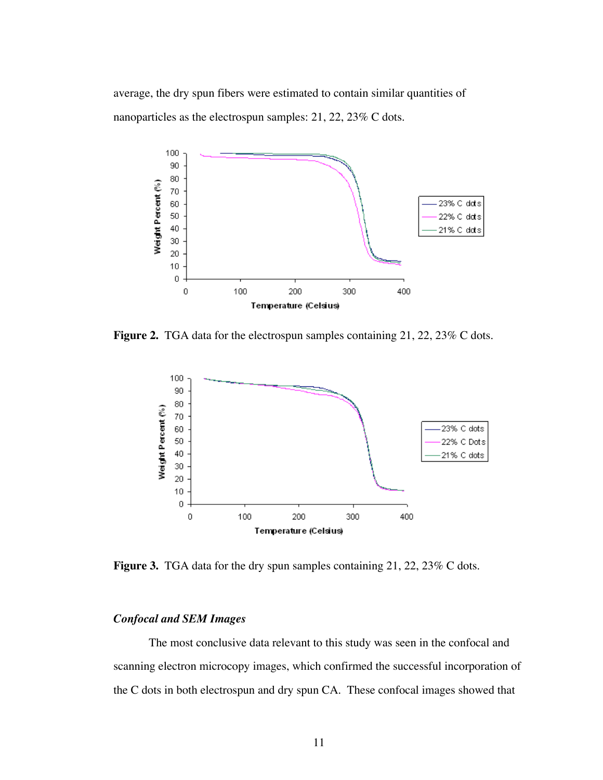average, the dry spun fibers were estimated to contain similar quantities of nanoparticles as the electrospun samples: 21, 22, 23% C dots.



Figure 2. TGA data for the electrospun samples containing 21, 22, 23% C dots.



**Figure 3.** TGA data for the dry spun samples containing 21, 22, 23% C dots.

# *Confocal and SEM Images*

The most conclusive data relevant to this study was seen in the confocal and scanning electron microcopy images, which confirmed the successful incorporation of the C dots in both electrospun and dry spun CA. These confocal images showed that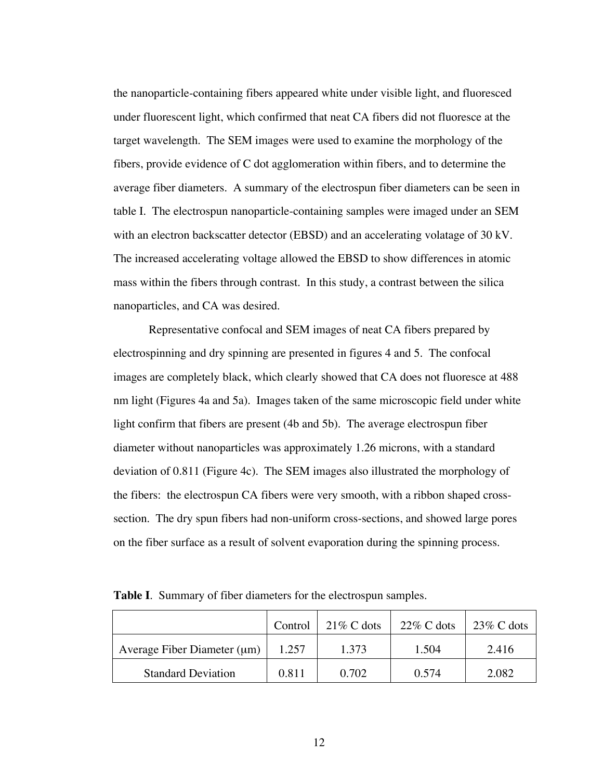the nanoparticle-containing fibers appeared white under visible light, and fluoresced under fluorescent light, which confirmed that neat CA fibers did not fluoresce at the target wavelength. The SEM images were used to examine the morphology of the fibers, provide evidence of C dot agglomeration within fibers, and to determine the average fiber diameters. A summary of the electrospun fiber diameters can be seen in table I. The electrospun nanoparticle-containing samples were imaged under an SEM with an electron backscatter detector (EBSD) and an accelerating volatage of 30 kV. The increased accelerating voltage allowed the EBSD to show differences in atomic mass within the fibers through contrast. In this study, a contrast between the silica nanoparticles, and CA was desired.

Representative confocal and SEM images of neat CA fibers prepared by electrospinning and dry spinning are presented in figures 4 and 5. The confocal images are completely black, which clearly showed that CA does not fluoresce at 488 nm light (Figures 4a and 5a). Images taken of the same microscopic field under white light confirm that fibers are present (4b and 5b). The average electrospun fiber diameter without nanoparticles was approximately 1.26 microns, with a standard deviation of 0.811 (Figure 4c). The SEM images also illustrated the morphology of the fibers: the electrospun CA fibers were very smooth, with a ribbon shaped crosssection. The dry spun fibers had non-uniform cross-sections, and showed large pores on the fiber surface as a result of solvent evaporation during the spinning process.

|                                  | Control | $21\%$ C dots | $22\%$ C dots | $23\%$ C dots |
|----------------------------------|---------|---------------|---------------|---------------|
| Average Fiber Diameter $(\mu m)$ | 1.257   | 1.373         | 1.504         | 2.416         |
| <b>Standard Deviation</b>        | 0.811   | 0.702         | 0.574         | 2.082         |

**Table I**. Summary of fiber diameters for the electrospun samples.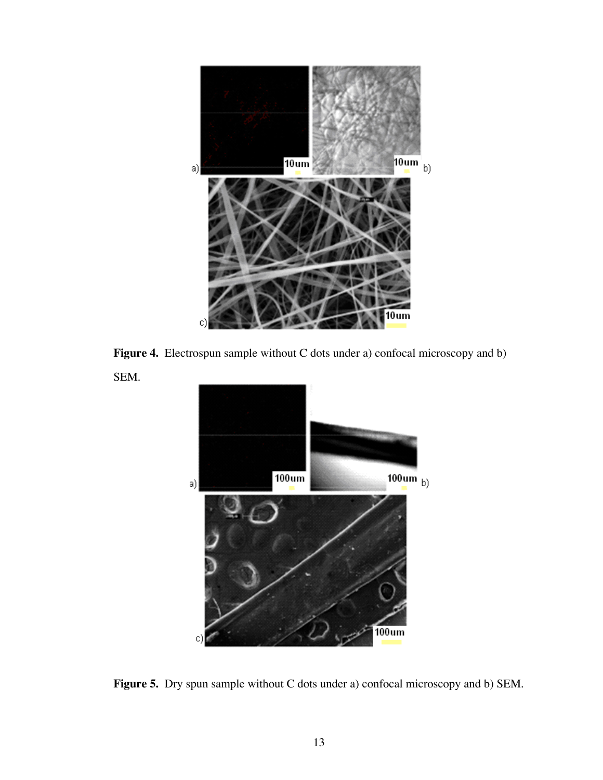





**Figure 5.** Dry spun sample without C dots under a) confocal microscopy and b) SEM.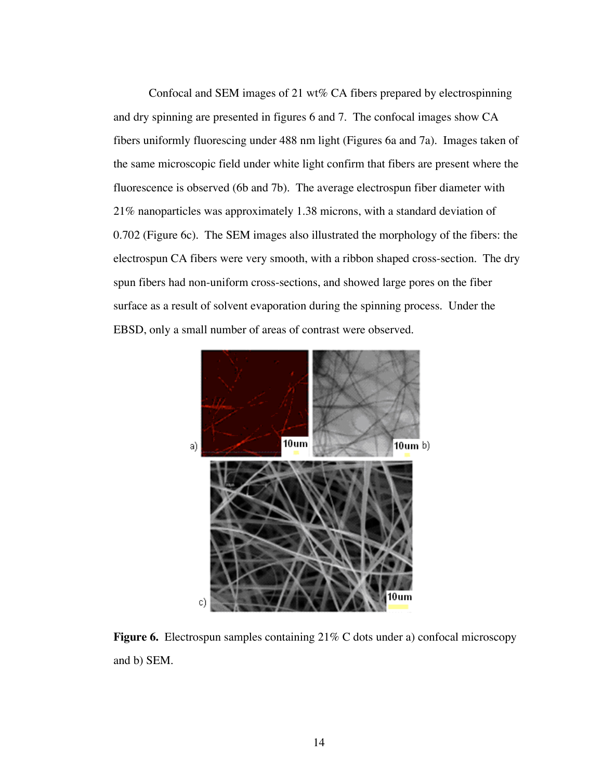Confocal and SEM images of 21 wt% CA fibers prepared by electrospinning and dry spinning are presented in figures 6 and 7. The confocal images show CA fibers uniformly fluorescing under 488 nm light (Figures 6a and 7a). Images taken of the same microscopic field under white light confirm that fibers are present where the fluorescence is observed (6b and 7b). The average electrospun fiber diameter with 21% nanoparticles was approximately 1.38 microns, with a standard deviation of 0.702 (Figure 6c). The SEM images also illustrated the morphology of the fibers: the electrospun CA fibers were very smooth, with a ribbon shaped cross-section. The dry spun fibers had non-uniform cross-sections, and showed large pores on the fiber surface as a result of solvent evaporation during the spinning process. Under the EBSD, only a small number of areas of contrast were observed.



**Figure 6.** Electrospun samples containing 21% C dots under a) confocal microscopy and b) SEM.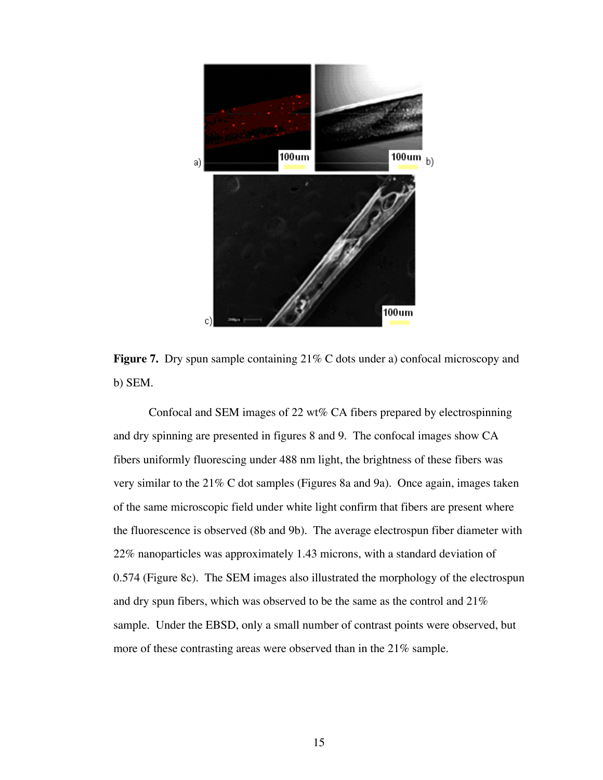

**Figure 7.** Dry spun sample containing 21% C dots under a) confocal microscopy and b) SEM.

Confocal and SEM images of 22 wt% CA fibers prepared by electrospinning and dry spinning are presented in figures 8 and 9. The confocal images show CA fibers uniformly fluorescing under 488 nm light, the brightness of these fibers was very similar to the 21% C dot samples (Figures 8a and 9a). Once again, images taken of the same microscopic field under white light confirm that fibers are present where the fluorescence is observed (8b and 9b). The average electrospun fiber diameter with 22% nanoparticles was approximately 1.43 microns, with a standard deviation of 0.574 (Figure 8c). The SEM images also illustrated the morphology of the electrospun and dry spun fibers, which was observed to be the same as the control and 21% sample. Under the EBSD, only a small number of contrast points were observed, but more of these contrasting areas were observed than in the 21% sample.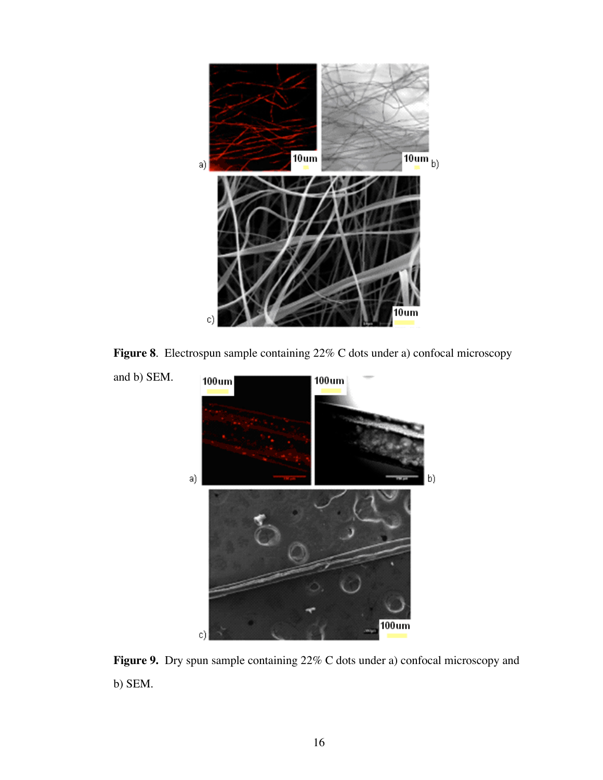

**Figure 8**. Electrospun sample containing 22% C dots under a) confocal microscopy



Figure 9. Dry spun sample containing 22% C dots under a) confocal microscopy and b) SEM.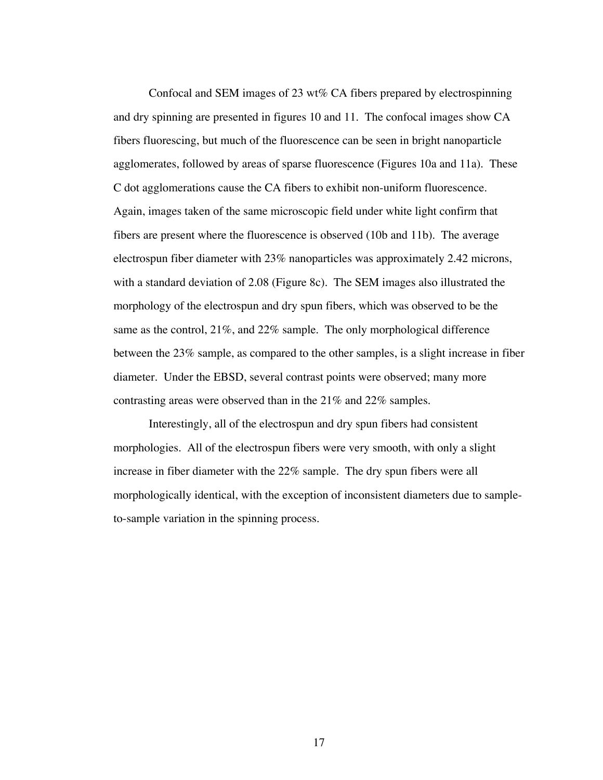Confocal and SEM images of 23 wt% CA fibers prepared by electrospinning and dry spinning are presented in figures 10 and 11. The confocal images show CA fibers fluorescing, but much of the fluorescence can be seen in bright nanoparticle agglomerates, followed by areas of sparse fluorescence (Figures 10a and 11a). These C dot agglomerations cause the CA fibers to exhibit non-uniform fluorescence. Again, images taken of the same microscopic field under white light confirm that fibers are present where the fluorescence is observed (10b and 11b). The average electrospun fiber diameter with 23% nanoparticles was approximately 2.42 microns, with a standard deviation of 2.08 (Figure 8c). The SEM images also illustrated the morphology of the electrospun and dry spun fibers, which was observed to be the same as the control, 21%, and 22% sample. The only morphological difference between the 23% sample, as compared to the other samples, is a slight increase in fiber diameter. Under the EBSD, several contrast points were observed; many more contrasting areas were observed than in the 21% and 22% samples.

Interestingly, all of the electrospun and dry spun fibers had consistent morphologies. All of the electrospun fibers were very smooth, with only a slight increase in fiber diameter with the 22% sample. The dry spun fibers were all morphologically identical, with the exception of inconsistent diameters due to sampleto-sample variation in the spinning process.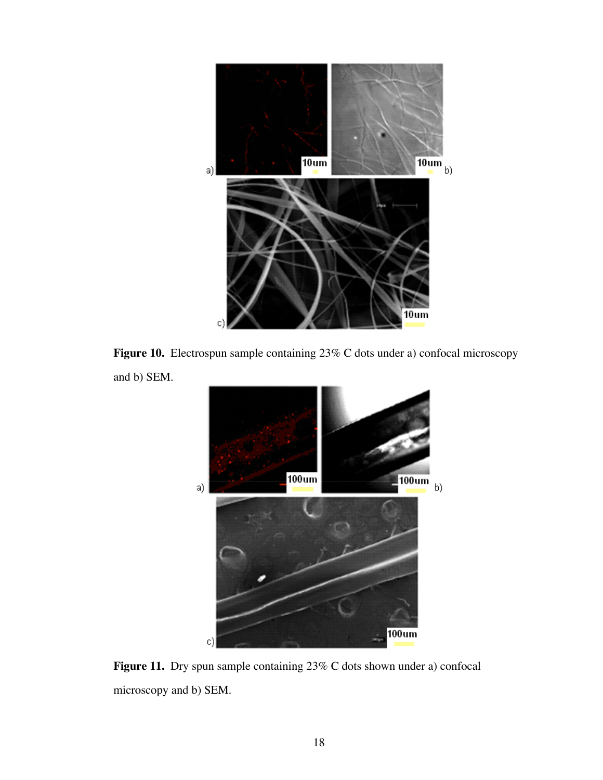

Figure 10. Electrospun sample containing 23% C dots under a) confocal microscopy and b) SEM.



Figure 11. Dry spun sample containing 23% C dots shown under a) confocal microscopy and b) SEM.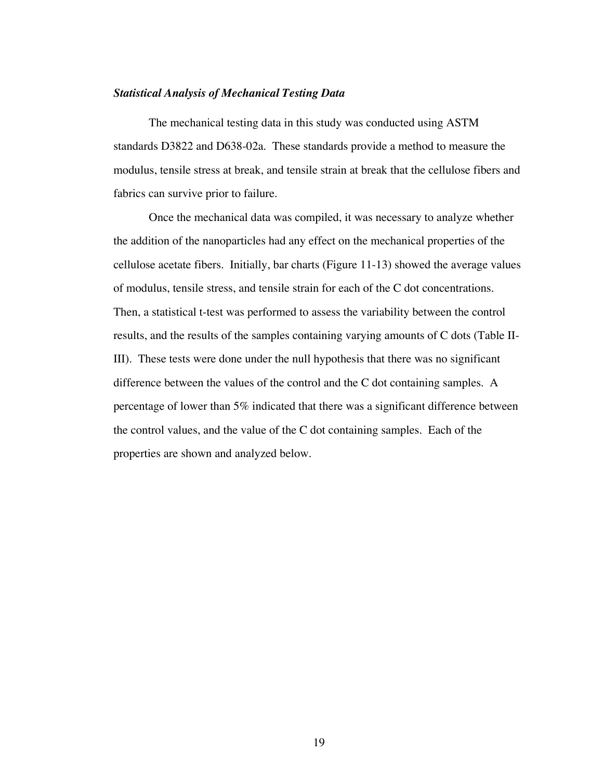### *Statistical Analysis of Mechanical Testing Data*

The mechanical testing data in this study was conducted using ASTM standards D3822 and D638-02a. These standards provide a method to measure the modulus, tensile stress at break, and tensile strain at break that the cellulose fibers and fabrics can survive prior to failure.

Once the mechanical data was compiled, it was necessary to analyze whether the addition of the nanoparticles had any effect on the mechanical properties of the cellulose acetate fibers. Initially, bar charts (Figure 11-13) showed the average values of modulus, tensile stress, and tensile strain for each of the C dot concentrations. Then, a statistical t-test was performed to assess the variability between the control results, and the results of the samples containing varying amounts of C dots (Table II-III). These tests were done under the null hypothesis that there was no significant difference between the values of the control and the C dot containing samples. A percentage of lower than 5% indicated that there was a significant difference between the control values, and the value of the C dot containing samples. Each of the properties are shown and analyzed below.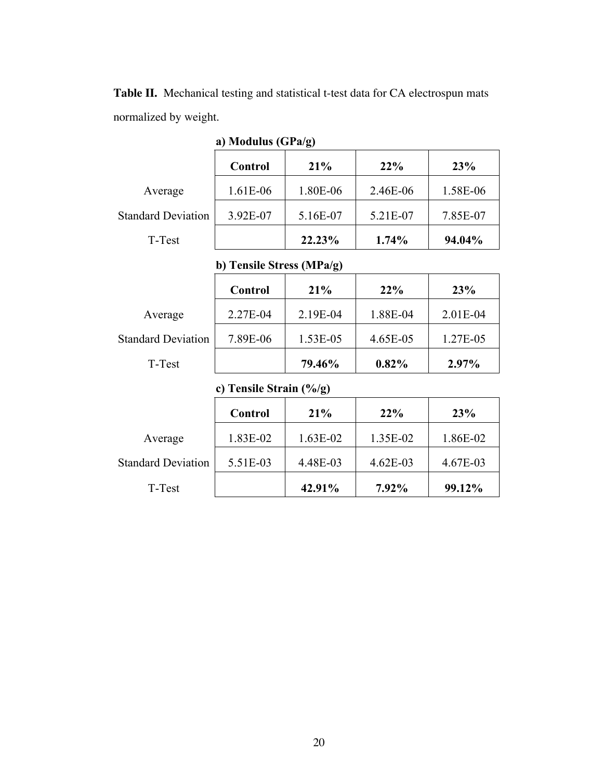| a) Modulus $(GPa/g)$      |                |          |          |          |  |
|---------------------------|----------------|----------|----------|----------|--|
|                           | <b>Control</b> | 21%      | 22%      | 23%      |  |
| Average                   | 1.61E-06       | 1.80E-06 | 2.46E-06 | 1.58E-06 |  |
| <b>Standard Deviation</b> | 3.92E-07       | 5.16E-07 | 5.21E-07 | 7.85E-07 |  |
| T-Test                    |                | 22.23%   | 1.74%    | 94.04%   |  |

**Table II.** Mechanical testing and statistical t-test data for CA electrospun mats normalized by weight.

# b) Tensile Stress (MPa/g)

|                           | Control  | 21%      | $22\%$   | 23%        |
|---------------------------|----------|----------|----------|------------|
| Average                   | 2.27E-04 | 2.19E-04 | 1.88E-04 | $2.01E-04$ |
| <b>Standard Deviation</b> | 7.89E-06 | 1.53E-05 | 4.65E-05 | 1.27E-05   |
| T-Test                    |          | 79.46%   | $0.82\%$ | 2.97%      |

# c) Tensile Strain (%/g)

|                           | Control  | 21%        | 22%        | 23%      |
|---------------------------|----------|------------|------------|----------|
| Average                   | 1.83E-02 | $1.63E-02$ | 1.35E-02   | 1.86E-02 |
| <b>Standard Deviation</b> | 5.51E-03 | 4.48E-03   | $4.62E-03$ | 4.67E-03 |
| T-Test                    |          | 42.91%     | 7.92%      | 99.12%   |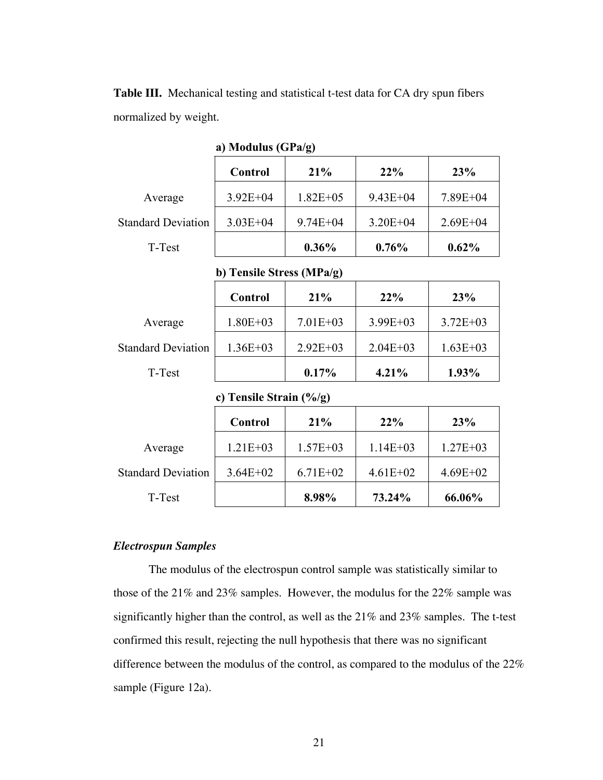|                           | a) Modulus $(GPa/g)$ |               |              |              |
|---------------------------|----------------------|---------------|--------------|--------------|
|                           | Control              | 21%           | 22%          | 23%          |
| Average                   | $3.92E + 04$         | $1.82E + 0.5$ | $9.43E + 04$ | $7.89E + 04$ |
| <b>Standard Deviation</b> | $3.03E + 04$         | $9.74E + 04$  | $3.20E + 04$ | $2.69E + 04$ |
| T-Test                    |                      | $0.36\%$      | 0.76%        | 0.62%        |

**Table III.** Mechanical testing and statistical t-test data for CA dry spun fibers normalized by weight.

b) Tensile Stress (MPa/g)

|                           | Control      | 21%          | 22%          | 23%          |
|---------------------------|--------------|--------------|--------------|--------------|
| Average                   | $1.80E + 03$ | $7.01E + 03$ | $3.99E + 03$ | $3.72E + 03$ |
| <b>Standard Deviation</b> | $1.36E + 03$ | $2.92E + 03$ | $2.04E + 03$ | $1.63E + 03$ |
| T-Test                    |              | $0.17\%$     | 4.21%        | 1.93%        |

c) Tensile Strain (%/g)

|                           | Control      | 21%          | 22%          | 23%          |
|---------------------------|--------------|--------------|--------------|--------------|
| Average                   | $1.21E + 03$ | $1.57E + 03$ | $1.14E + 03$ | $1.27E + 03$ |
| <b>Standard Deviation</b> | $3.64E + 02$ | $6.71E+02$   | $4.61E + 02$ | $4.69E + 02$ |
| T-Test                    |              | 8.98%        | 73.24%       | 66.06%       |

### *Electrospun Samples*

The modulus of the electrospun control sample was statistically similar to those of the 21% and 23% samples. However, the modulus for the 22% sample was significantly higher than the control, as well as the 21% and 23% samples. The t-test confirmed this result, rejecting the null hypothesis that there was no significant difference between the modulus of the control, as compared to the modulus of the 22% sample (Figure 12a).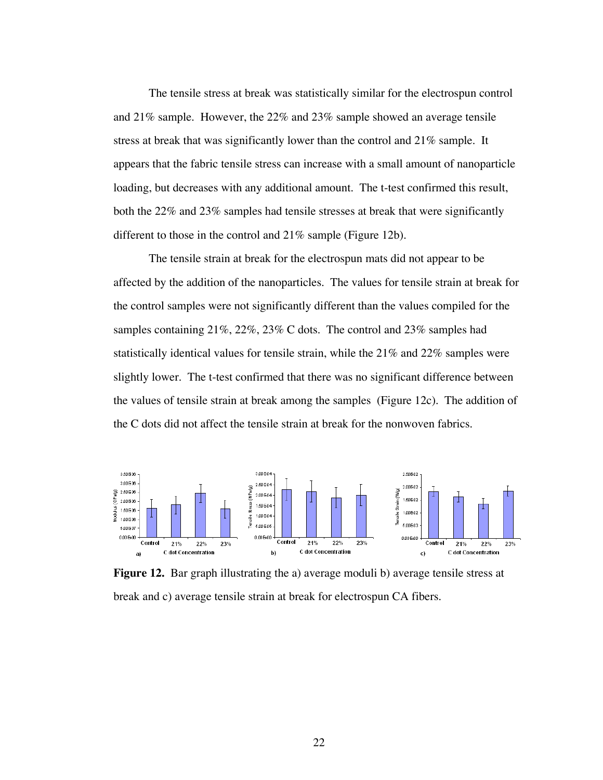The tensile stress at break was statistically similar for the electrospun control and 21% sample. However, the 22% and 23% sample showed an average tensile stress at break that was significantly lower than the control and 21% sample. It appears that the fabric tensile stress can increase with a small amount of nanoparticle loading, but decreases with any additional amount. The t-test confirmed this result, both the 22% and 23% samples had tensile stresses at break that were significantly different to those in the control and 21% sample (Figure 12b).

The tensile strain at break for the electrospun mats did not appear to be affected by the addition of the nanoparticles. The values for tensile strain at break for the control samples were not significantly different than the values compiled for the samples containing 21%, 22%, 23% C dots. The control and 23% samples had statistically identical values for tensile strain, while the 21% and 22% samples were slightly lower. The t-test confirmed that there was no significant difference between the values of tensile strain at break among the samples (Figure 12c). The addition of the C dots did not affect the tensile strain at break for the nonwoven fabrics.



**Figure 12.** Bar graph illustrating the a) average moduli b) average tensile stress at break and c) average tensile strain at break for electrospun CA fibers.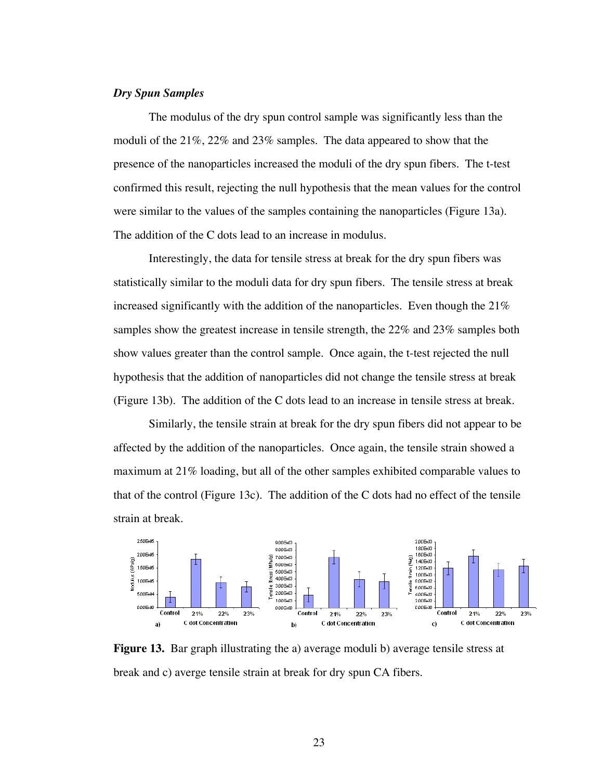## *Dry Spun Samples*

The modulus of the dry spun control sample was significantly less than the moduli of the 21%, 22% and 23% samples. The data appeared to show that the presence of the nanoparticles increased the moduli of the dry spun fibers. The t-test confirmed this result, rejecting the null hypothesis that the mean values for the control were similar to the values of the samples containing the nanoparticles (Figure 13a). The addition of the C dots lead to an increase in modulus.

Interestingly, the data for tensile stress at break for the dry spun fibers was statistically similar to the moduli data for dry spun fibers. The tensile stress at break increased significantly with the addition of the nanoparticles. Even though the 21% samples show the greatest increase in tensile strength, the 22% and 23% samples both show values greater than the control sample. Once again, the t-test rejected the null hypothesis that the addition of nanoparticles did not change the tensile stress at break (Figure 13b). The addition of the C dots lead to an increase in tensile stress at break.

Similarly, the tensile strain at break for the dry spun fibers did not appear to be affected by the addition of the nanoparticles. Once again, the tensile strain showed a maximum at 21% loading, but all of the other samples exhibited comparable values to that of the control (Figure 13c). The addition of the C dots had no effect of the tensile strain at break.

![](_page_30_Figure_4.jpeg)

**Figure 13.** Bar graph illustrating the a) average moduli b) average tensile stress at break and c) averge tensile strain at break for dry spun CA fibers.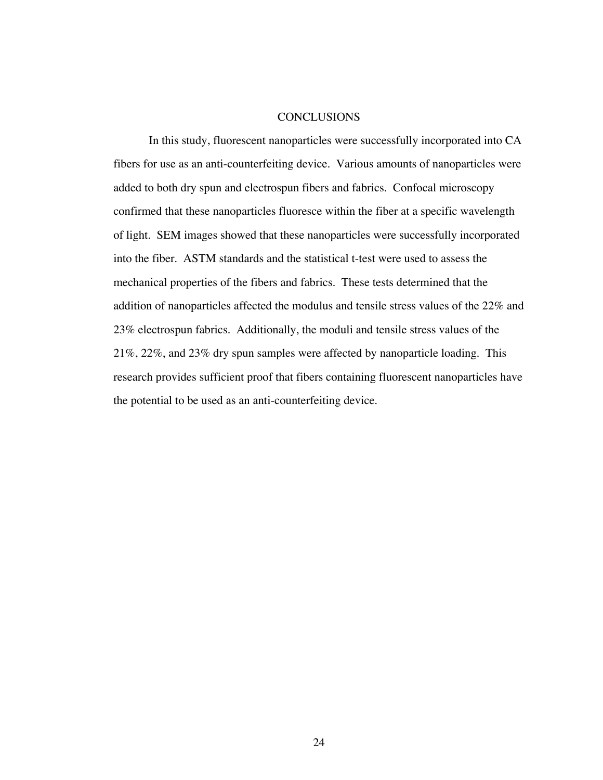#### **CONCLUSIONS**

In this study, fluorescent nanoparticles were successfully incorporated into CA fibers for use as an anti-counterfeiting device. Various amounts of nanoparticles were added to both dry spun and electrospun fibers and fabrics. Confocal microscopy confirmed that these nanoparticles fluoresce within the fiber at a specific wavelength of light. SEM images showed that these nanoparticles were successfully incorporated into the fiber. ASTM standards and the statistical t-test were used to assess the mechanical properties of the fibers and fabrics. These tests determined that the addition of nanoparticles affected the modulus and tensile stress values of the 22% and 23% electrospun fabrics. Additionally, the moduli and tensile stress values of the 21%, 22%, and 23% dry spun samples were affected by nanoparticle loading. This research provides sufficient proof that fibers containing fluorescent nanoparticles have the potential to be used as an anti-counterfeiting device.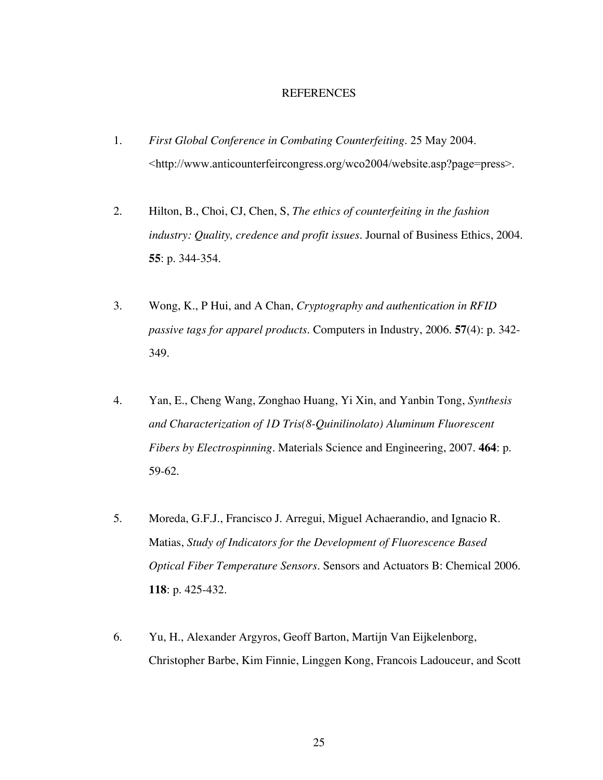#### **REFERENCES**

- 1. *First Global Conference in Combating Counterfeiting*. 25 May 2004. <http://www.anticounterfeircongress.org/wco2004/website.asp?page=press>.
- 2. Hilton, B., Choi, CJ, Chen, S, *The ethics of counterfeiting in the fashion industry: Quality, credence and profit issues.* Journal of Business Ethics, 2004. **55**: p. 344-354.
- 3. Wong, K., P Hui, and A Chan, *Cryptography and authentication in RFID passive tags for apparel products.* Computers in Industry, 2006. **57**(4): p. 342- 349.
- 4. Yan, E., Cheng Wang, Zonghao Huang, Yi Xin, and Yanbin Tong, *Synthesis and Characterization of 1D Tris(8-Quinilinolato) Aluminum Fluorescent Fibers by Electrospinning.* Materials Science and Engineering, 2007. **464**: p. 59-62.
- 5. Moreda, G.F.J., Francisco J. Arregui, Miguel Achaerandio, and Ignacio R. Matias, *Study of Indicators for the Development of Fluorescence Based Optical Fiber Temperature Sensors.* Sensors and Actuators B: Chemical 2006. **118**: p. 425-432.
- 6. Yu, H., Alexander Argyros, Geoff Barton, Martijn Van Eijkelenborg, Christopher Barbe, Kim Finnie, Linggen Kong, Francois Ladouceur, and Scott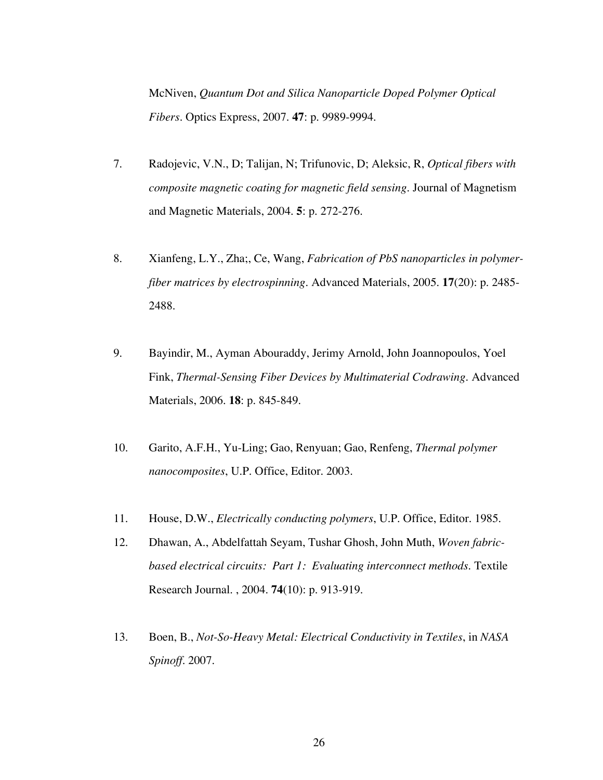McNiven, *Quantum Dot and Silica Nanoparticle Doped Polymer Optical Fibers.* Optics Express, 2007. **47**: p. 9989-9994.

- 7. Radojevic, V.N., D; Talijan, N; Trifunovic, D; Aleksic, R, *Optical fibers with composite magnetic coating for magnetic field sensing.* Journal of Magnetism and Magnetic Materials, 2004. **5**: p. 272-276.
- 8. Xianfeng, L.Y., Zha;, Ce, Wang, *Fabrication of PbS nanoparticles in polymerfiber matrices by electrospinning.* Advanced Materials, 2005. **17**(20): p. 2485- 2488.
- 9. Bayindir, M., Ayman Abouraddy, Jerimy Arnold, John Joannopoulos, Yoel Fink, *Thermal-Sensing Fiber Devices by Multimaterial Codrawing.* Advanced Materials, 2006. **18**: p. 845-849.
- 10. Garito, A.F.H., Yu-Ling; Gao, Renyuan; Gao, Renfeng, *Thermal polymer nanocomposites*, U.P. Office, Editor. 2003.
- 11. House, D.W., *Electrically conducting polymers*, U.P. Office, Editor. 1985.
- 12. Dhawan, A., Abdelfattah Seyam, Tushar Ghosh, John Muth, *Woven fabricbased electrical circuits: Part 1: Evaluating interconnect methods.* Textile Research Journal. , 2004. **74**(10): p. 913-919.
- 13. Boen, B., *Not-So-Heavy Metal: Electrical Conductivity in Textiles*, in *NASA Spinoff*. 2007.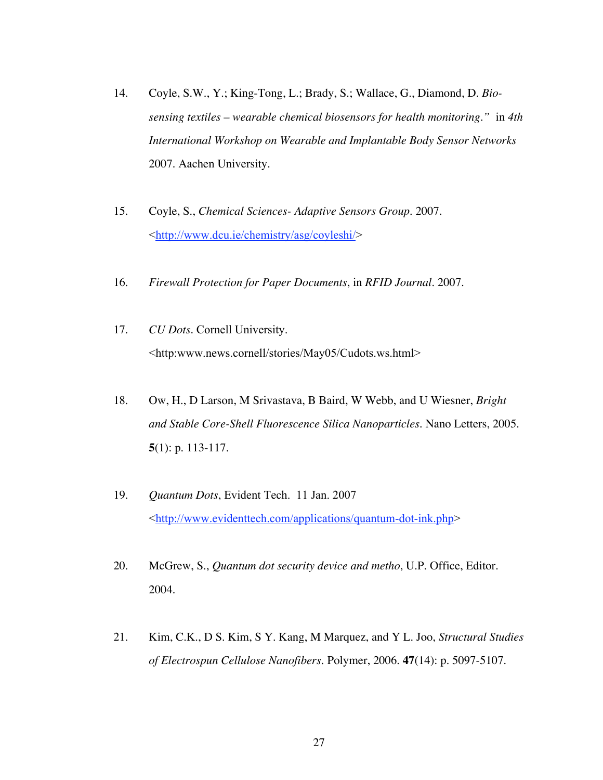- 14. Coyle, S.W., Y.; King-Tong, L.; Brady, S.; Wallace, G., Diamond, D. *Biosensing textiles – wearable chemical biosensors for health monitoring."* in *4th International Workshop on Wearable and Implantable Body Sensor Networks* 2007. Aachen University.
- 15. Coyle, S., *Chemical Sciences- Adaptive Sensors Group*. 2007. <http://www.dcu.ie/chemistry/asg/coyleshi/>
- 16. *Firewall Protection for Paper Documents*, in *RFID Journal*. 2007.
- 17. *CU Dots*. Cornell University. <http:www.news.cornell/stories/May05/Cudots.ws.html>
- 18. Ow, H., D Larson, M Srivastava, B Baird, W Webb, and U Wiesner, *Bright and Stable Core-Shell Fluorescence Silica Nanoparticles.* Nano Letters, 2005. **5**(1): p. 113-117.
- 19. *Quantum Dots*, Evident Tech. 11 Jan. 2007 <http://www.evidenttech.com/applications/quantum-dot-ink.php>
- 20. McGrew, S., *Quantum dot security device and metho*, U.P. Office, Editor. 2004.
- 21. Kim, C.K., D S. Kim, S Y. Kang, M Marquez, and Y L. Joo, *Structural Studies of Electrospun Cellulose Nanofibers.* Polymer, 2006. **47**(14): p. 5097-5107.